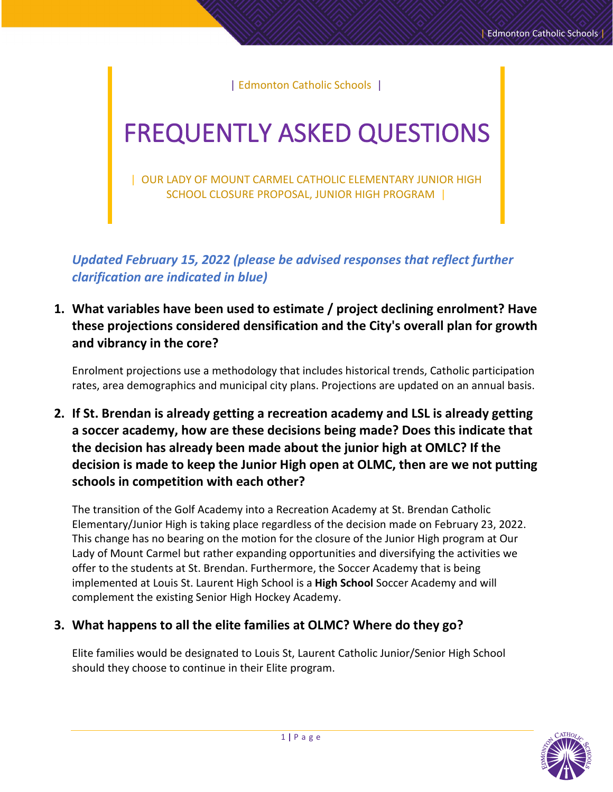| Edmonton Catholic Schools |

# FREQUENTLY ASKED QUESTIONS

| OUR LADY OF MOUNT CARMEL CATHOLIC ELEMENTARY JUNIOR HIGH SCHOOL CLOSURE PROPOSAL, JUNIOR HIGH PROGRAM |

*Updated February 15, 2022 (please be advised responses that reflect further clarification are indicated in blue)*

**1. What variables have been used to estimate / project declining enrolment? Have these projections considered densification and the City's overall plan for growth and vibrancy in the core?**

Enrolment projections use a methodology that includes historical trends, Catholic participation rates, area demographics and municipal city plans. Projections are updated on an annual basis.

**2. If St. Brendan is already getting a recreation academy and LSL is already getting a soccer academy, how are these decisions being made? Does this indicate that the decision has already been made about the junior high at OMLC? If the decision is made to keep the Junior High open at OLMC, then are we not putting schools in competition with each other?** 

The transition of the Golf Academy into a Recreation Academy at St. Brendan Catholic Elementary/Junior High is taking place regardless of the decision made on February 23, 2022. This change has no bearing on the motion for the closure of the Junior High program at Our Lady of Mount Carmel but rather expanding opportunities and diversifying the activities we offer to the students at St. Brendan. Furthermore, the Soccer Academy that is being implemented at Louis St. Laurent High School is a **High School** Soccer Academy and will complement the existing Senior High Hockey Academy.

#### **3. What happens to all the elite families at OLMC? Where do they go?**

Elite families would be designated to Louis St, Laurent Catholic Junior/Senior High School should they choose to continue in their Elite program.

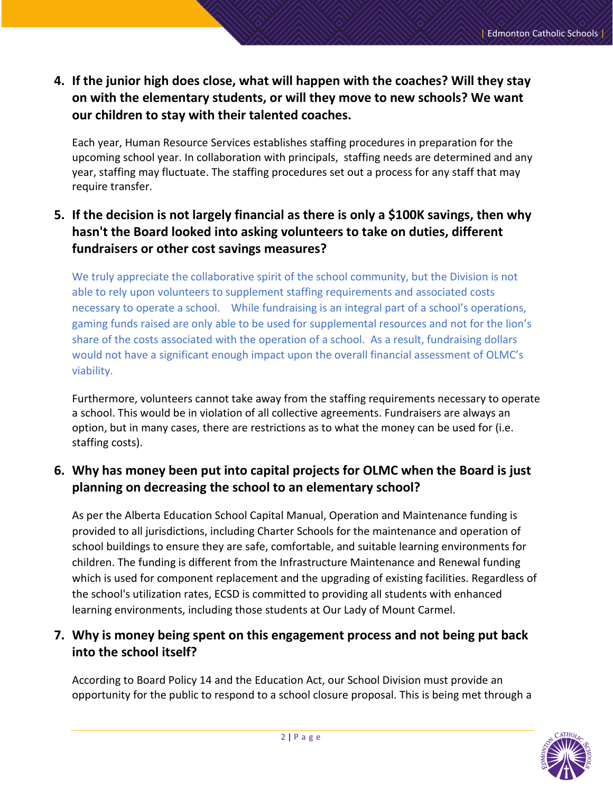**4. If the junior high does close, what will happen with the coaches? Will they stay on with the elementary students, or will they move to new schools? We want our children to stay with their talented coaches.**

Each year, Human Resource Services establishes staffing procedures in preparation for the upcoming school year. In collaboration with principals, staffing needs are determined and any year, staffing may fluctuate. The staffing procedures set out a process for any staff that may require transfer.

# **5. If the decision is not largely financial as there is only a \$100K savings, then why hasn't the Board looked into asking volunteers to take on duties, different fundraisers or other cost savings measures?**

We truly appreciate the collaborative spirit of the school community, but the Division is not able to rely upon volunteers to supplement staffing requirements and associated costs necessary to operate a school. While fundraising is an integral part of a school's operations, gaming funds raised are only able to be used for supplemental resources and not for the lion's share of the costs associated with the operation of a school. As a result, fundraising dollars would not have a significant enough impact upon the overall financial assessment of OLMC's viability.

Furthermore, volunteers cannot take away from the staffing requirements necessary to operate a school. This would be in violation of all collective agreements. Fundraisers are always an option, but in many cases, there are restrictions as to what the money can be used for (i.e. staffing costs).

## **6. Why has money been put into capital projects for OLMC when the Board is just planning on decreasing the school to an elementary school?**

As per the Alberta Education School Capital Manual, Operation and Maintenance funding is provided to all jurisdictions, including Charter Schools for the maintenance and operation of school buildings to ensure they are safe, comfortable, and suitable learning environments for children. The funding is different from the Infrastructure Maintenance and Renewal funding which is used for component replacement and the upgrading of existing facilities. Regardless of the school's utilization rates, ECSD is committed to providing all students with enhanced learning environments, including those students at Our Lady of Mount Carmel.

## **7. Why is money being spent on this engagement process and not being put back into the school itself?**

According to Board Policy 14 and the Education Act, our School Division must provide an opportunity for the public to respond to a school closure proposal. This is being met through a

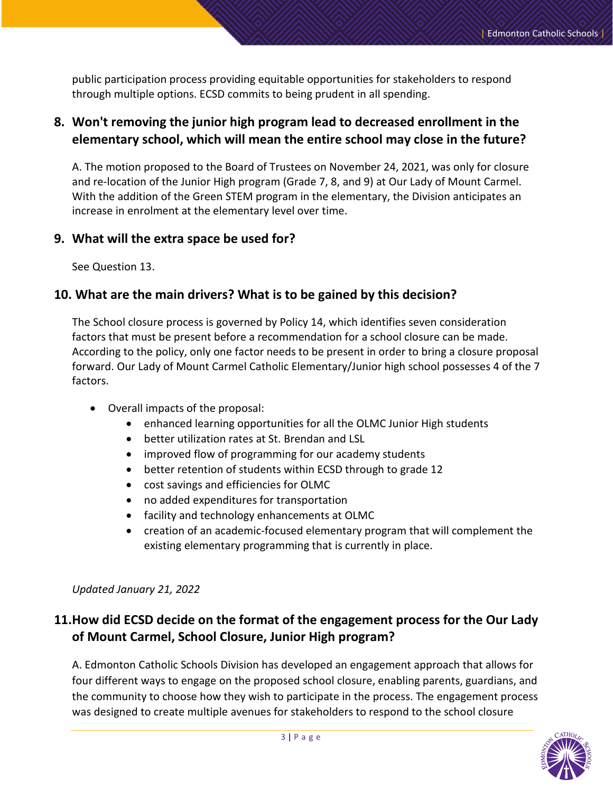public participation process providing equitable opportunities for stakeholders to respond through multiple options. ECSD commits to being prudent in all spending.

#### **8. Won't removing the junior high program lead to decreased enrollment in the elementary school, which will mean the entire school may close in the future?**

A. The motion proposed to the Board of Trustees on November 24, 2021, was only for closure and re-location of the Junior High program (Grade 7, 8, and 9) at Our Lady of Mount Carmel. With the addition of the Green STEM program in the elementary, the Division anticipates an increase in enrolment at the elementary level over time.

#### **9. What will the extra space be used for?**

See Question 13.

#### **10. What are the main drivers? What is to be gained by this decision?**

The School closure process is governed by Policy 14, which identifies seven consideration factors that must be present before a recommendation for a school closure can be made. According to the policy, only one factor needs to be present in order to bring a closure proposal forward. Our Lady of Mount Carmel Catholic Elementary/Junior high school possesses 4 of the 7 factors.

- Overall impacts of the proposal:
	- enhanced learning opportunities for all the OLMC Junior High students
	- better utilization rates at St. Brendan and LSL
	- improved flow of programming for our academy students
	- better retention of students within ECSD through to grade 12
	- cost savings and efficiencies for OLMC
	- no added expenditures for transportation
	- facility and technology enhancements at OLMC
	- creation of an academic-focused elementary program that will complement the existing elementary programming that is currently in place.

#### *Updated January 21, 2022*

# **11.How did ECSD decide on the format of the engagement process for the Our Lady of Mount Carmel, School Closure, Junior High program?**

A. Edmonton Catholic Schools Division has developed an engagement approach that allows for four different ways to engage on the proposed school closure, enabling parents, guardians, and the community to choose how they wish to participate in the process. The engagement process was designed to create multiple avenues for stakeholders to respond to the school closure

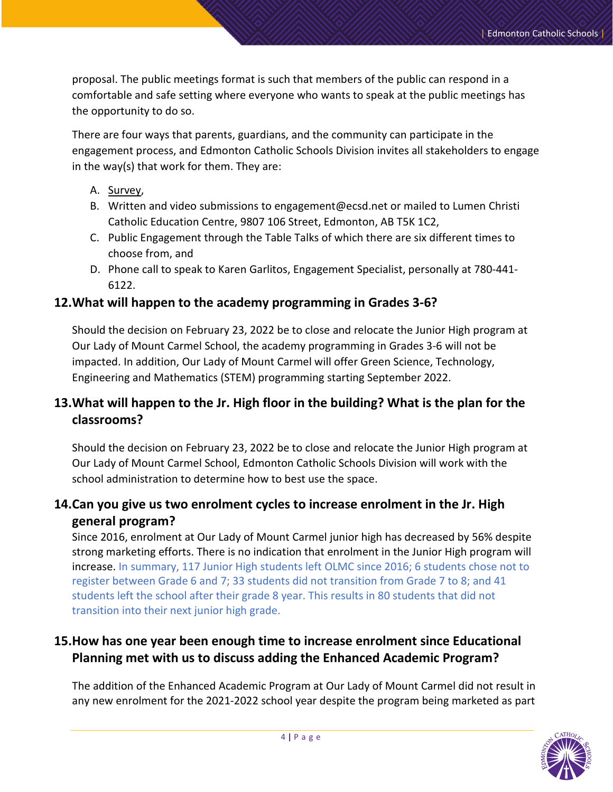proposal. The public meetings format is such that members of the public can respond in a comfortable and safe setting where everyone who wants to speak at the public meetings has the opportunity to do so.

There are four ways that parents, guardians, and the community can participate in the engagement process, and Edmonton Catholic Schools Division invites all stakeholders to engage in the way(s) that work for them. They are:

#### A. [Survey,](https://www.ecsd.net/page/38345/notice-regarding-our-lady-of-mount-carmel-school)

- B. Written and video submissions to engagement@ecsd.net or mailed to Lumen Christi Catholic Education Centre, 9807 106 Street, Edmonton, AB T5K 1C2,
- C. Public Engagement through the Table Talks of which there are six different times to choose from, and
- D. Phone call to speak to Karen Garlitos, Engagement Specialist, personally at 780-441- 6122.

#### **12.What will happen to the academy programming in Grades 3-6?**

Should the decision on February 23, 2022 be to close and relocate the Junior High program at Our Lady of Mount Carmel School, the academy programming in Grades 3-6 will not be impacted. In addition, Our Lady of Mount Carmel will offer Green Science, Technology, Engineering and Mathematics (STEM) programming starting September 2022.

## **13.What will happen to the Jr. High floor in the building? What is the plan for the classrooms?**

Should the decision on February 23, 2022 be to close and relocate the Junior High program at Our Lady of Mount Carmel School, Edmonton Catholic Schools Division will work with the school administration to determine how to best use the space.

#### **14.Can you give us two enrolment cycles to increase enrolment in the Jr. High general program?**

Since 2016, enrolment at Our Lady of Mount Carmel junior high has decreased by 56% despite strong marketing efforts. There is no indication that enrolment in the Junior High program will increase. In summary, 117 Junior High students left OLMC since 2016; 6 students chose not to register between Grade 6 and 7; 33 students did not transition from Grade 7 to 8; and 41 students left the school after their grade 8 year. This results in 80 students that did not transition into their next junior high grade.

#### **15.How has one year been enough time to increase enrolment since Educational Planning met with us to discuss adding the Enhanced Academic Program?**

The addition of the Enhanced Academic Program at Our Lady of Mount Carmel did not result in any new enrolment for the 2021-2022 school year despite the program being marketed as part

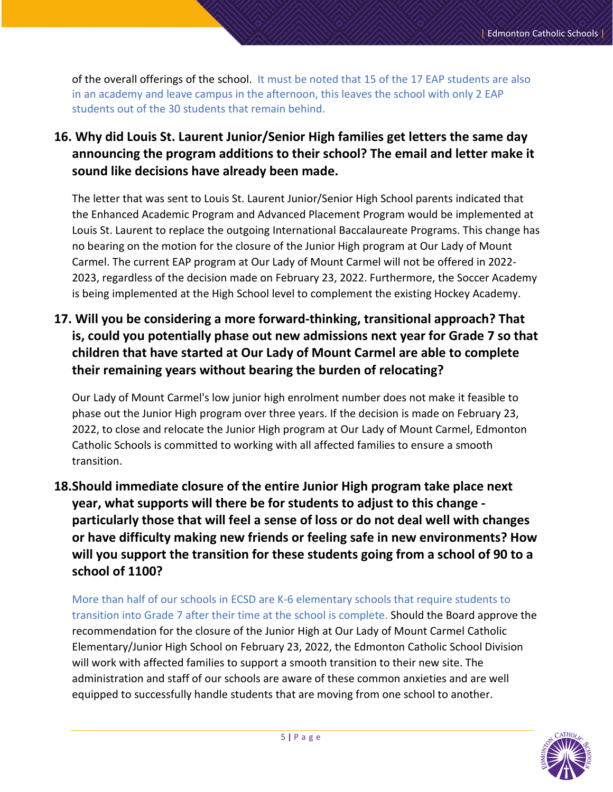of the overall offerings of the school. It must be noted that 15 of the 17 EAP students are also in an academy and leave campus in the afternoon, this leaves the school with only 2 EAP students out of the 30 students that remain behind.

**16. Why did Louis St. Laurent Junior/Senior High families get letters the same day announcing the program additions to their school? The email and letter make it sound like decisions have already been made.**

The letter that was sent to Louis St. Laurent Junior/Senior High School parents indicated that the Enhanced Academic Program and Advanced Placement Program would be implemented at Louis St. Laurent to replace the outgoing International Baccalaureate Programs. This change has no bearing on the motion for the closure of the Junior High program at Our Lady of Mount Carmel. The current EAP program at Our Lady of Mount Carmel will not be offered in 2022- 2023, regardless of the decision made on February 23, 2022. Furthermore, the Soccer Academy is being implemented at the High School level to complement the existing Hockey Academy.

**17. Will you be considering a more forward-thinking, transitional approach? That is, could you potentially phase out new admissions next year for Grade 7 so that children that have started at Our Lady of Mount Carmel are able to complete their remaining years without bearing the burden of relocating?** 

Our Lady of Mount Carmel's low junior high enrolment number does not make it feasible to phase out the Junior High program over three years. If the decision is made on February 23, 2022, to close and relocate the Junior High program at Our Lady of Mount Carmel, Edmonton Catholic Schools is committed to working with all affected families to ensure a smooth transition.

**18.Should immediate closure of the entire Junior High program take place next year, what supports will there be for students to adjust to this change particularly those that will feel a sense of loss or do not deal well with changes or have difficulty making new friends or feeling safe in new environments? How will you support the transition for these students going from a school of 90 to a school of 1100?**

More than half of our schools in ECSD are K-6 elementary schools that require students to transition into Grade 7 after their time at the school is complete. Should the Board approve the recommendation for the closure of the Junior High at Our Lady of Mount Carmel Catholic Elementary/Junior High School on February 23, 2022, the Edmonton Catholic School Division will work with affected families to support a smooth transition to their new site. The administration and staff of our schools are aware of these common anxieties and are well equipped to successfully handle students that are moving from one school to another.

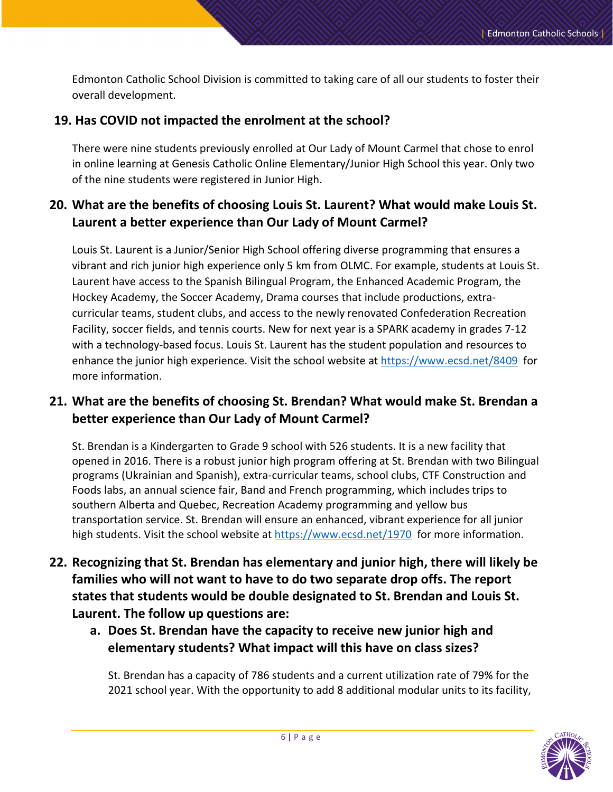Edmonton Catholic School Division is committed to taking care of all our students to foster their overall development.

#### **19. Has COVID not impacted the enrolment at the school?**

There were nine students previously enrolled at Our Lady of Mount Carmel that chose to enrol in online learning at Genesis Catholic Online Elementary/Junior High School this year. Only two of the nine students were registered in Junior High.

# **20. What are the benefits of choosing Louis St. Laurent? What would make Louis St. Laurent a better experience than Our Lady of Mount Carmel?**

Louis St. Laurent is a Junior/Senior High School offering diverse programming that ensures a vibrant and rich junior high experience only 5 km from OLMC. For example, students at Louis St. Laurent have access to the Spanish Bilingual Program, the Enhanced Academic Program, the Hockey Academy, the Soccer Academy, Drama courses that include productions, extracurricular teams, student clubs, and access to the newly renovated Confederation Recreation Facility, soccer fields, and tennis courts. New for next year is a SPARK academy in grades 7-12 with a technology-based focus. Louis St. Laurent has the student population and resources to enhance the junior high experience. Visit the school website at <https://www.ecsd.net/8409> for more information.

## **21. What are the benefits of choosing St. Brendan? What would make St. Brendan a better experience than Our Lady of Mount Carmel?**

St. Brendan is a Kindergarten to Grade 9 school with 526 students. It is a new facility that opened in 2016. There is a robust junior high program offering at St. Brendan with two Bilingual programs (Ukrainian and Spanish), extra-curricular teams, school clubs, CTF Construction and Foods labs, an annual science fair, Band and French programming, which includes trips to southern Alberta and Quebec, Recreation Academy programming and yellow bus transportation service. St. Brendan will ensure an enhanced, vibrant experience for all junior high students. Visit the school website at <https://www.ecsd.net/1970> for more information.

- **22. Recognizing that St. Brendan has elementary and junior high, there will likely be families who will not want to have to do two separate drop offs. The report states that students would be double designated to St. Brendan and Louis St. Laurent. The follow up questions are:**
	- **a. Does St. Brendan have the capacity to receive new junior high and elementary students? What impact will this have on class sizes?**

St. Brendan has a capacity of 786 students and a current utilization rate of 79% for the 2021 school year. With the opportunity to add 8 additional modular units to its facility,

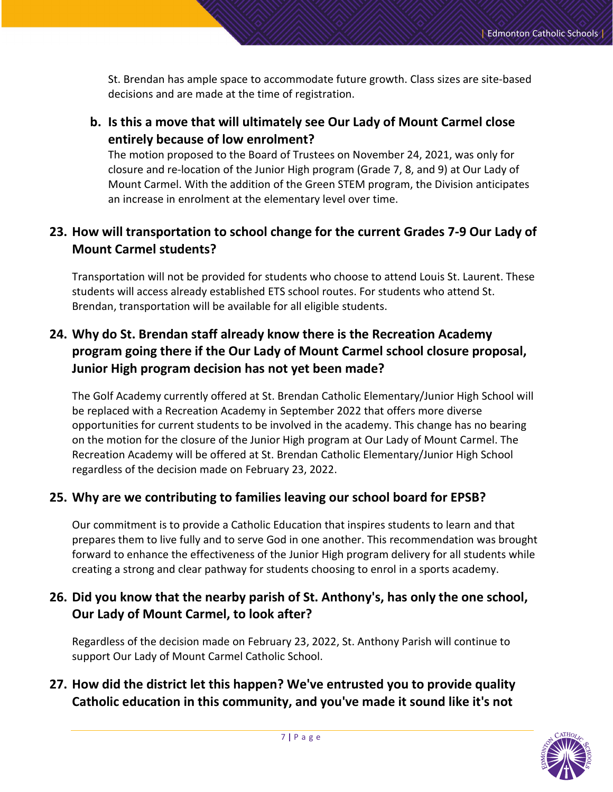St. Brendan has ample space to accommodate future growth. Class sizes are site-based decisions and are made at the time of registration.

**b. Is this a move that will ultimately see Our Lady of Mount Carmel close entirely because of low enrolment?** 

The motion proposed to the Board of Trustees on November 24, 2021, was only for closure and re-location of the Junior High program (Grade 7, 8, and 9) at Our Lady of Mount Carmel. With the addition of the Green STEM program, the Division anticipates an increase in enrolment at the elementary level over time.

# **23. How will transportation to school change for the current Grades 7-9 Our Lady of Mount Carmel students?**

Transportation will not be provided for students who choose to attend Louis St. Laurent. These students will access already established ETS school routes. For students who attend St. Brendan, transportation will be available for all eligible students.

# **24. Why do St. Brendan staff already know there is the Recreation Academy program going there if the Our Lady of Mount Carmel school closure proposal, Junior High program decision has not yet been made?**

The Golf Academy currently offered at St. Brendan Catholic Elementary/Junior High School will be replaced with a Recreation Academy in September 2022 that offers more diverse opportunities for current students to be involved in the academy. This change has no bearing on the motion for the closure of the Junior High program at Our Lady of Mount Carmel. The Recreation Academy will be offered at St. Brendan Catholic Elementary/Junior High School regardless of the decision made on February 23, 2022.

#### **25. Why are we contributing to families leaving our school board for EPSB?**

Our commitment is to provide a Catholic Education that inspires students to learn and that prepares them to live fully and to serve God in one another. This recommendation was brought forward to enhance the effectiveness of the Junior High program delivery for all students while creating a strong and clear pathway for students choosing to enrol in a sports academy.

#### **26. Did you know that the nearby parish of St. Anthony's, has only the one school, Our Lady of Mount Carmel, to look after?**

Regardless of the decision made on February 23, 2022, St. Anthony Parish will continue to support Our Lady of Mount Carmel Catholic School.

#### **27. How did the district let this happen? We've entrusted you to provide quality Catholic education in this community, and you've made it sound like it's not**